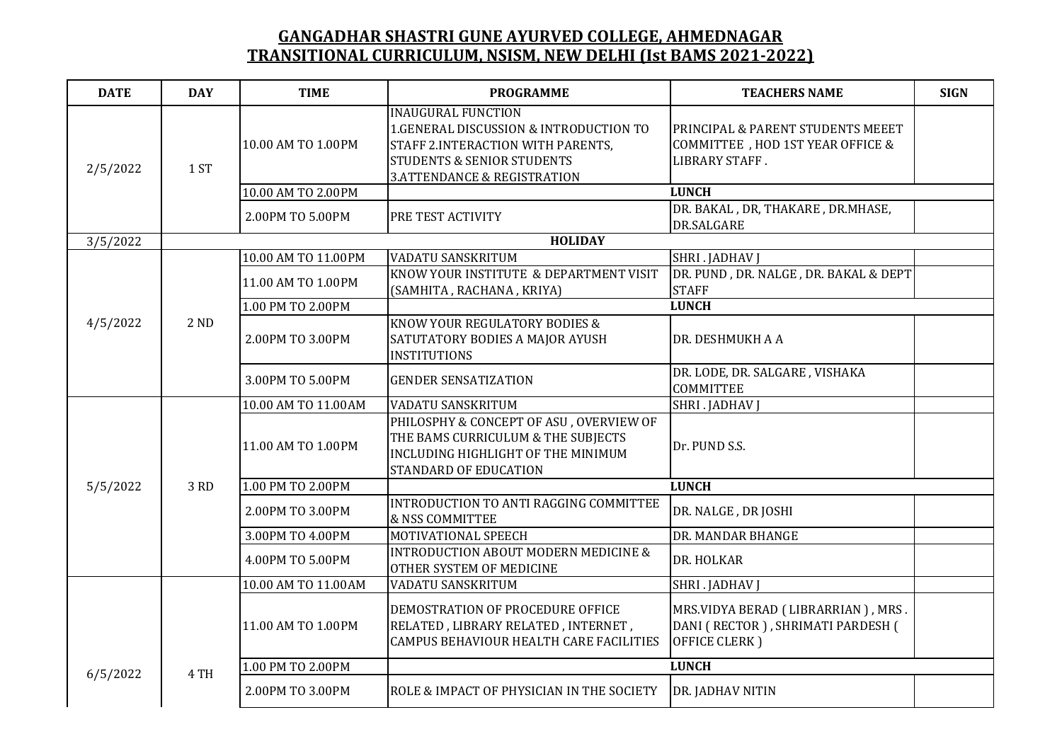| <b>DATE</b> | <b>DAY</b> | <b>TIME</b>         | <b>PROGRAMME</b>                                                                                                                                                                            | <b>TEACHERS NAME</b>                                                                     | <b>SIGN</b> |
|-------------|------------|---------------------|---------------------------------------------------------------------------------------------------------------------------------------------------------------------------------------------|------------------------------------------------------------------------------------------|-------------|
| 2/5/2022    | 1 ST       | 10.00 AM TO 1.00PM  | <b>INAUGURAL FUNCTION</b><br>1.GENERAL DISCUSSION & INTRODUCTION TO<br>STAFF 2.INTERACTION WITH PARENTS,<br><b>STUDENTS &amp; SENIOR STUDENTS</b><br><b>3.ATTENDANCE &amp; REGISTRATION</b> | PRINCIPAL & PARENT STUDENTS MEEET<br>COMMITTEE , HOD 1ST YEAR OFFICE &<br>LIBRARY STAFF. |             |
|             |            | 10.00 AM TO 2.00PM  |                                                                                                                                                                                             | <b>LUNCH</b>                                                                             |             |
|             |            | 2.00PM TO 5.00PM    | PRE TEST ACTIVITY                                                                                                                                                                           | DR. BAKAL, DR, THAKARE, DR.MHASE,<br>DR.SALGARE                                          |             |
| 3/5/2022    |            |                     | <b>HOLIDAY</b>                                                                                                                                                                              |                                                                                          |             |
|             |            | 10.00 AM TO 11.00PM | <b>VADATU SANSKRITUM</b>                                                                                                                                                                    | <b>SHRI . JADHAV J</b>                                                                   |             |
|             |            | 11.00 AM TO 1.00PM  | KNOW YOUR INSTITUTE & DEPARTMENT VISIT<br>(SAMHITA, RACHANA, KRIYA)                                                                                                                         | DR. PUND, DR. NALGE, DR. BAKAL & DEPT<br><b>STAFF</b>                                    |             |
|             |            | 1.00 PM TO 2.00PM   |                                                                                                                                                                                             | <b>LUNCH</b>                                                                             |             |
| 4/5/2022    | 2 ND       | 2.00PM TO 3.00PM    | KNOW YOUR REGULATORY BODIES &<br>SATUTATORY BODIES A MAJOR AYUSH<br><b>INSTITUTIONS</b>                                                                                                     | DR. DESHMUKH A A                                                                         |             |
|             |            | 3.00PM TO 5.00PM    | <b>GENDER SENSATIZATION</b>                                                                                                                                                                 | DR. LODE, DR. SALGARE, VISHAKA<br><b>COMMITTEE</b>                                       |             |
|             | 3 RD       | 10.00 AM TO 11.00AM | <b>VADATU SANSKRITUM</b>                                                                                                                                                                    | SHRI . JADHAV J                                                                          |             |
|             |            | 11.00 AM TO 1.00PM  | PHILOSPHY & CONCEPT OF ASU, OVERVIEW OF<br>THE BAMS CURRICULUM & THE SUBJECTS<br>INCLUDING HIGHLIGHT OF THE MINIMUM<br>STANDARD OF EDUCATION                                                | Dr. PUND S.S.                                                                            |             |
| 5/5/2022    |            | 1.00 PM TO 2.00PM   |                                                                                                                                                                                             | <b>LUNCH</b>                                                                             |             |
|             |            | 2.00PM TO 3.00PM    | INTRODUCTION TO ANTI RAGGING COMMITTEE<br>& NSS COMMITTEE                                                                                                                                   | DR. NALGE, DR JOSHI                                                                      |             |
|             |            | 3.00PM TO 4.00PM    | MOTIVATIONAL SPEECH                                                                                                                                                                         | DR. MANDAR BHANGE                                                                        |             |
|             |            | 4.00PM TO 5.00PM    | <b>INTRODUCTION ABOUT MODERN MEDICINE &amp;</b><br>OTHER SYSTEM OF MEDICINE                                                                                                                 | DR. HOLKAR                                                                               |             |
|             | 4 TH       | 10.00 AM TO 11.00AM | VADATU SANSKRITUM                                                                                                                                                                           | SHRI . JADHAV J                                                                          |             |
|             |            | 11.00 AM TO 1.00PM  | DEMOSTRATION OF PROCEDURE OFFICE<br>RELATED, LIBRARY RELATED, INTERNET,<br>CAMPUS BEHAVIOUR HEALTH CARE FACILITIES                                                                          | MRS.VIDYA BERAD (LIBRARRIAN), MRS.<br>DANI (RECTOR), SHRIMATI PARDESH (<br>OFFICE CLERK) |             |
| 6/5/2022    |            | 1.00 PM TO 2.00PM   |                                                                                                                                                                                             | <b>LUNCH</b>                                                                             |             |
|             |            | 2.00PM TO 3.00PM    | ROLE & IMPACT OF PHYSICIAN IN THE SOCIETY                                                                                                                                                   | DR. JADHAV NITIN                                                                         |             |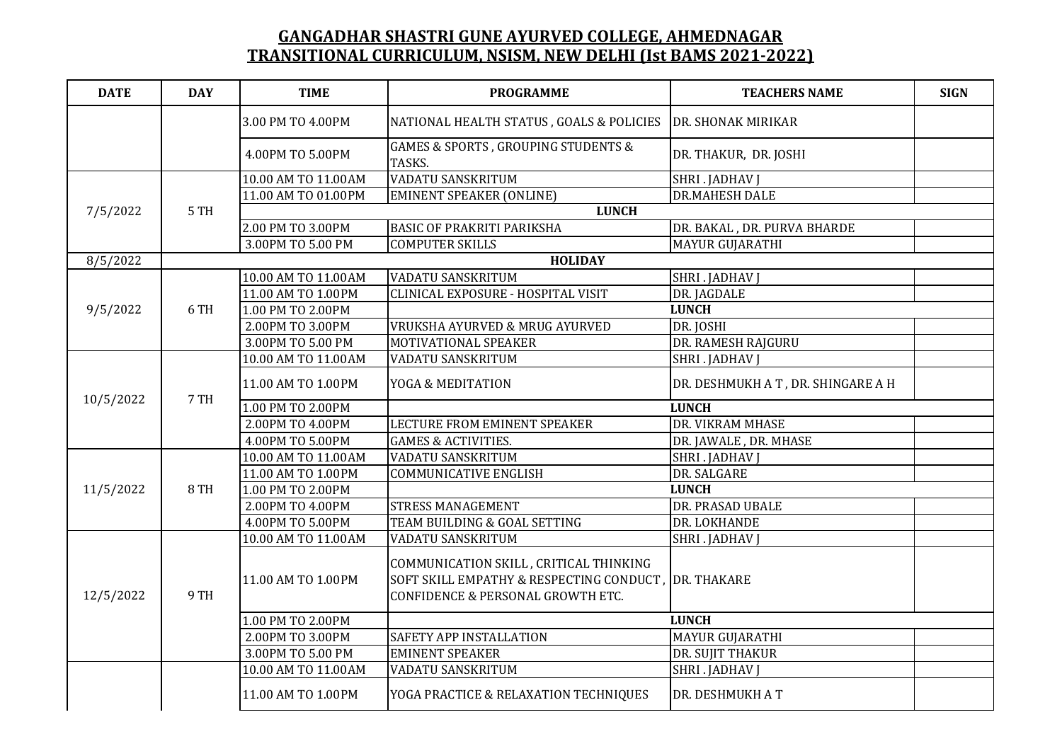| <b>DATE</b> | <b>DAY</b> | <b>TIME</b>         | <b>PROGRAMME</b>                                                                                                        | <b>TEACHERS NAME</b>              | <b>SIGN</b> |
|-------------|------------|---------------------|-------------------------------------------------------------------------------------------------------------------------|-----------------------------------|-------------|
|             |            | 3.00 PM TO 4.00PM   | NATIONAL HEALTH STATUS, GOALS & POLICIES                                                                                | DR. SHONAK MIRIKAR                |             |
|             |            | 4.00PM TO 5.00PM    | GAMES & SPORTS, GROUPING STUDENTS &<br>TASKS.                                                                           | DR. THAKUR, DR. JOSHI             |             |
| 7/5/2022    |            | 10.00 AM TO 11.00AM | <b>VADATU SANSKRITUM</b>                                                                                                | SHRI . JADHAV J                   |             |
|             | 5 TH       | 11.00 AM TO 01.00PM | <b>EMINENT SPEAKER (ONLINE)</b>                                                                                         | <b>DR.MAHESH DALE</b>             |             |
|             |            | <b>LUNCH</b>        |                                                                                                                         |                                   |             |
|             |            | 2.00 PM TO 3.00PM   | <b>BASIC OF PRAKRITI PARIKSHA</b>                                                                                       | DR. BAKAL, DR. PURVA BHARDE       |             |
|             |            | 3.00PM TO 5.00 PM   | <b>COMPUTER SKILLS</b>                                                                                                  | MAYUR GUJARATHI                   |             |
| 8/5/2022    |            | <b>HOLIDAY</b>      |                                                                                                                         |                                   |             |
|             |            | 10.00 AM TO 11.00AM | <b>VADATU SANSKRITUM</b>                                                                                                | SHRI . JADHAV J                   |             |
|             |            | 11.00 AM TO 1.00PM  | CLINICAL EXPOSURE - HOSPITAL VISIT                                                                                      | DR. JAGDALE                       |             |
| 9/5/2022    | 6 TH       | 1.00 PM TO 2.00PM   |                                                                                                                         | <b>LUNCH</b>                      |             |
|             |            | 2.00PM TO 3.00PM    | VRUKSHA AYURVED & MRUG AYURVED                                                                                          | DR. JOSHI                         |             |
|             |            | 3.00PM TO 5.00 PM   | MOTIVATIONAL SPEAKER                                                                                                    | DR. RAMESH RAJGURU                |             |
|             | 7 TH       | 10.00 AM TO 11.00AM | VADATU SANSKRITUM                                                                                                       | SHRI . JADHAV J                   |             |
|             |            | 11.00 AM TO 1.00PM  | <b>YOGA &amp; MEDITATION</b>                                                                                            | DR. DESHMUKH AT, DR. SHINGARE A H |             |
| 10/5/2022   |            | 1.00 PM TO 2.00PM   |                                                                                                                         | <b>LUNCH</b>                      |             |
|             |            | 2.00PM TO 4.00PM    | LECTURE FROM EMINENT SPEAKER                                                                                            | DR. VIKRAM MHASE                  |             |
|             |            | 4.00PM TO 5.00PM    | <b>GAMES &amp; ACTIVITIES.</b>                                                                                          | DR. JAWALE, DR. MHASE             |             |
|             | 8 TH       | 10.00 AM TO 11.00AM | <b>VADATU SANSKRITUM</b>                                                                                                | SHRI . JADHAV J                   |             |
|             |            | 11.00 AM TO 1.00PM  | <b>COMMUNICATIVE ENGLISH</b>                                                                                            | DR. SALGARE                       |             |
| 11/5/2022   |            | 1.00 PM TO 2.00PM   |                                                                                                                         | <b>LUNCH</b>                      |             |
|             |            | 2.00PM TO 4.00PM    | <b>STRESS MANAGEMENT</b>                                                                                                | DR. PRASAD UBALE                  |             |
|             |            | 4.00PM TO 5.00PM    | TEAM BUILDING & GOAL SETTING                                                                                            | DR. LOKHANDE                      |             |
|             | 9 TH       | 10.00 AM TO 11.00AM | <b>VADATU SANSKRITUM</b>                                                                                                | SHRI . JADHAV J                   |             |
| 12/5/2022   |            | 11.00 AM TO 1.00PM  | COMMUNICATION SKILL, CRITICAL THINKING<br>SOFT SKILL EMPATHY & RESPECTING CONDUCT,<br>CONFIDENCE & PERSONAL GROWTH ETC. | <b>DR. THAKARE</b>                |             |
|             |            | 1.00 PM TO 2.00PM   |                                                                                                                         | <b>LUNCH</b>                      |             |
|             |            | 2.00PM TO 3.00PM    | SAFETY APP INSTALLATION                                                                                                 | MAYUR GUJARATHI                   |             |
|             |            | 3.00PM TO 5.00 PM   | <b>EMINENT SPEAKER</b>                                                                                                  | DR. SUJIT THAKUR                  |             |
|             |            | 10.00 AM TO 11.00AM | VADATU SANSKRITUM                                                                                                       | SHRI . JADHAV J                   |             |
|             |            | 11.00 AM TO 1.00PM  | YOGA PRACTICE & RELAXATION TECHNIQUES                                                                                   | DR. DESHMUKH A T                  |             |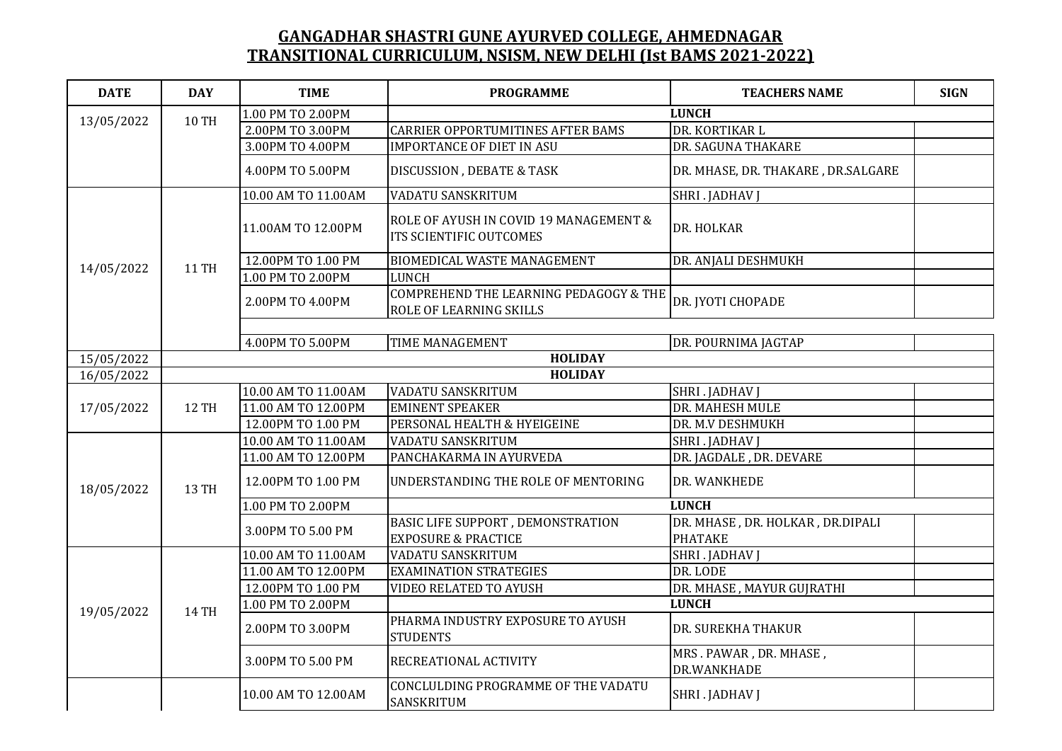| <b>DATE</b> | <b>DAY</b>   | <b>TIME</b>                                | <b>PROGRAMME</b>                                                         | <b>TEACHERS NAME</b>                  | <b>SIGN</b> |
|-------------|--------------|--------------------------------------------|--------------------------------------------------------------------------|---------------------------------------|-------------|
|             | <b>10 TH</b> | 1.00 PM TO 2.00PM                          | <b>LUNCH</b>                                                             |                                       |             |
| 13/05/2022  |              | 2.00PM TO 3.00PM                           | <b>CARRIER OPPORTUMITINES AFTER BAMS</b>                                 | DR. KORTIKAR L                        |             |
|             |              | 3.00PM TO 4.00PM                           | <b>IMPORTANCE OF DIET IN ASU</b>                                         | DR. SAGUNA THAKARE                    |             |
|             |              | 4.00PM TO 5.00PM                           | <b>DISCUSSION, DEBATE &amp; TASK</b>                                     | DR. MHASE, DR. THAKARE, DR.SALGARE    |             |
|             |              | 10.00 AM TO 11.00AM                        | <b>VADATU SANSKRITUM</b>                                                 | SHRI . JADHAV J                       |             |
|             |              | 11.00AM TO 12.00PM                         | ROLE OF AYUSH IN COVID 19 MANAGEMENT &<br><b>ITS SCIENTIFIC OUTCOMES</b> | DR. HOLKAR                            |             |
|             |              | 12.00PM TO 1.00 PM                         | BIOMEDICAL WASTE MANAGEMENT                                              | DR. ANJALI DESHMUKH                   |             |
| 14/05/2022  | <b>11 TH</b> | 1.00 PM TO 2.00PM                          | <b>LUNCH</b>                                                             |                                       |             |
|             |              | 2.00PM TO 4.00PM                           | COMPREHEND THE LEARNING PEDAGOGY & THE<br>ROLE OF LEARNING SKILLS        | DR. JYOTI CHOPADE                     |             |
|             |              |                                            |                                                                          |                                       |             |
|             |              | 4.00PM TO 5.00PM                           | <b>TIME MANAGEMENT</b>                                                   | DR. POURNIMA JAGTAP                   |             |
| 15/05/2022  |              |                                            | <b>HOLIDAY</b>                                                           |                                       |             |
| 16/05/2022  |              |                                            | <b>HOLIDAY</b>                                                           |                                       |             |
| 17/05/2022  | <b>12 TH</b> | 10.00 AM TO 11.00AM<br>11.00 AM TO 12.00PM | <b>VADATU SANSKRITUM</b><br><b>EMINENT SPEAKER</b>                       | SHRI . JADHAV J                       |             |
|             |              | 12.00PM TO 1.00 PM                         | PERSONAL HEALTH & HYEIGEINE                                              | DR. MAHESH MULE<br>DR. M.V DESHMUKH   |             |
|             |              | 10.00 AM TO 11.00AM                        | VADATU SANSKRITUM                                                        | SHRI . JADHAV J                       |             |
|             | 13 TH        | 11.00 AM TO 12.00PM                        | PANCHAKARMA IN AYURVEDA                                                  | DR. JAGDALE, DR. DEVARE               |             |
| 18/05/2022  |              | 12.00PM TO 1.00 PM                         | UNDERSTANDING THE ROLE OF MENTORING                                      | DR. WANKHEDE                          |             |
|             |              | 1.00 PM TO 2.00PM                          |                                                                          | <b>LUNCH</b>                          |             |
|             |              | 3.00PM TO 5.00 PM                          | BASIC LIFE SUPPORT, DEMONSTRATION                                        | DR. MHASE, DR. HOLKAR, DR.DIPALI      |             |
|             |              |                                            | <b>EXPOSURE &amp; PRACTICE</b>                                           | <b>PHATAKE</b>                        |             |
|             | 14 TH        | 10.00 AM TO 11.00AM                        | VADATU SANSKRITUM                                                        | SHRI . JADHAV J                       |             |
|             |              | 11.00 AM TO 12.00PM                        | <b>EXAMINATION STRATEGIES</b>                                            | DR. LODE                              |             |
|             |              | 12.00PM TO 1.00 PM                         | VIDEO RELATED TO AYUSH                                                   | DR. MHASE, MAYUR GUJRATHI             |             |
| 19/05/2022  |              | 1.00 PM TO 2.00PM                          |                                                                          | <b>LUNCH</b>                          |             |
|             |              | 2.00PM TO 3.00PM                           | PHARMA INDUSTRY EXPOSURE TO AYUSH<br><b>STUDENTS</b>                     | DR. SUREKHA THAKUR                    |             |
|             |              | 3.00PM TO 5.00 PM                          | <b>RECREATIONAL ACTIVITY</b>                                             | MRS. PAWAR, DR. MHASE,<br>DR.WANKHADE |             |
|             |              | 10.00 AM TO 12.00AM                        | CONCLULDING PROGRAMME OF THE VADATU<br>SANSKRITUM                        | <b>SHRI . JADHAV J</b>                |             |